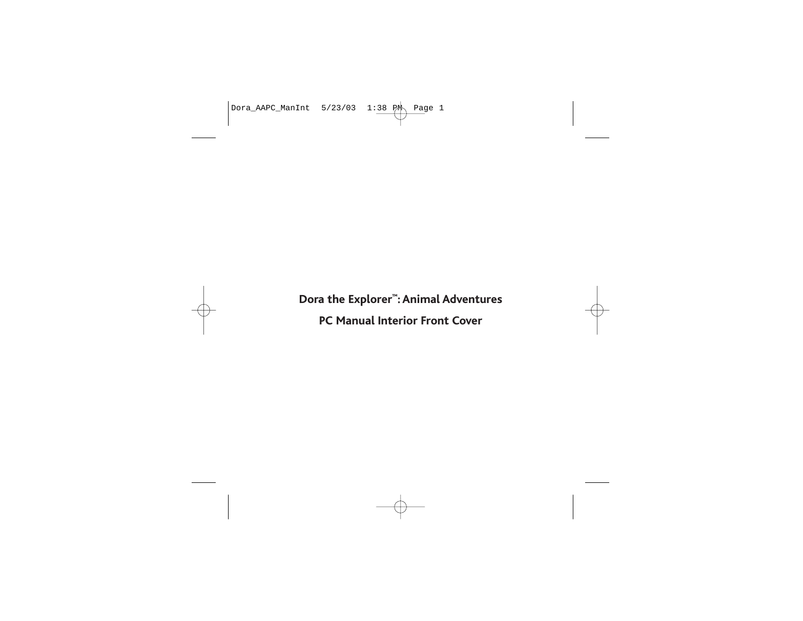

**Dora the Explorer™: Animal Adventures PC Manual Interior Front Cover**

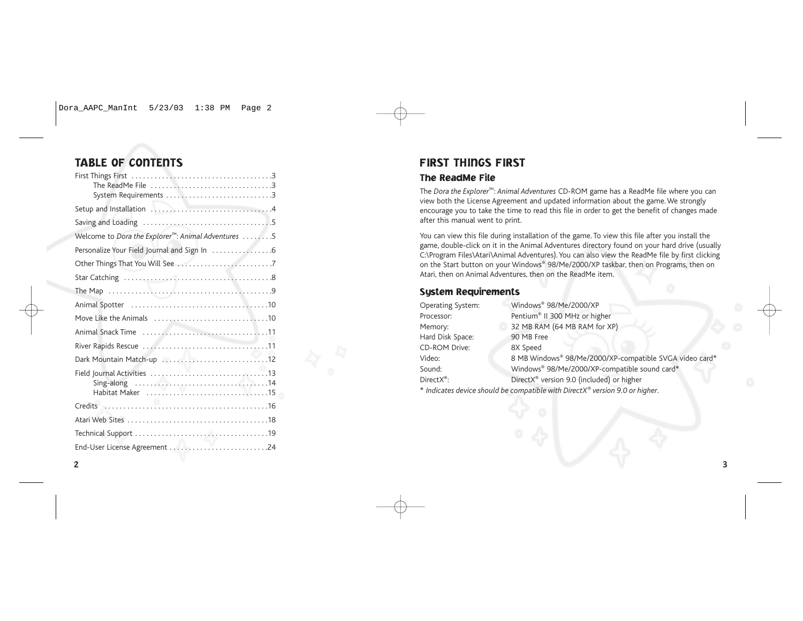# TABLE OF CONTENTS

| System Requirements 3                                           |
|-----------------------------------------------------------------|
|                                                                 |
|                                                                 |
| Welcome to Dora the Explorer <sup>™</sup> : Animal Adventures 5 |
|                                                                 |
|                                                                 |
|                                                                 |
|                                                                 |
|                                                                 |
|                                                                 |
|                                                                 |
|                                                                 |
|                                                                 |
|                                                                 |
|                                                                 |
|                                                                 |
|                                                                 |
|                                                                 |
|                                                                 |

# FIRST THINGS FIRST

# The ReadMe File

The *Dora the Explorer*™: *Animal Adventures* CD-ROM game has a ReadMe file where you can view both the License Agreement and updated information about the game. We strongly encourage you to take the time to read this file in order to get the benefit of changes made after this manual went to print.

You can view this file during installation of the game. To view this file after you install the game, double-click on it in the Animal Adventures directory found on your hard drive (usually C:\Program Files\Atari\Animal Adventures). You can also view the ReadMe file by first clicking on the Start button on your Windows® 98/Me/2000/XP taskbar, then on Programs, then on Atari, then on Animal Adventures, then on the ReadMe item.

### System Requirements

| Operating System:      | Windows® 98/Me/2000/XP                                  |
|------------------------|---------------------------------------------------------|
| Processor:             | Pentium® II 300 MHz or higher                           |
| Memory:                | 32 MB RAM (64 MB RAM for XP)                            |
| Hard Disk Space:       | 90 MB Free                                              |
| <b>CD-ROM Drive:</b>   | 8X Speed                                                |
| Video:                 | 8 MB Windows® 98/Me/2000/XP-compatible SVGA video card* |
| Sound:                 | Windows® 98/Me/2000/XP-compatible sound card*           |
| DirectX <sup>®</sup> : | DirectX <sup>®</sup> version 9.0 (included) or higher   |
|                        |                                                         |

\* *Indicates device should be compatible with DirectX*® *version 9.0 or higher*.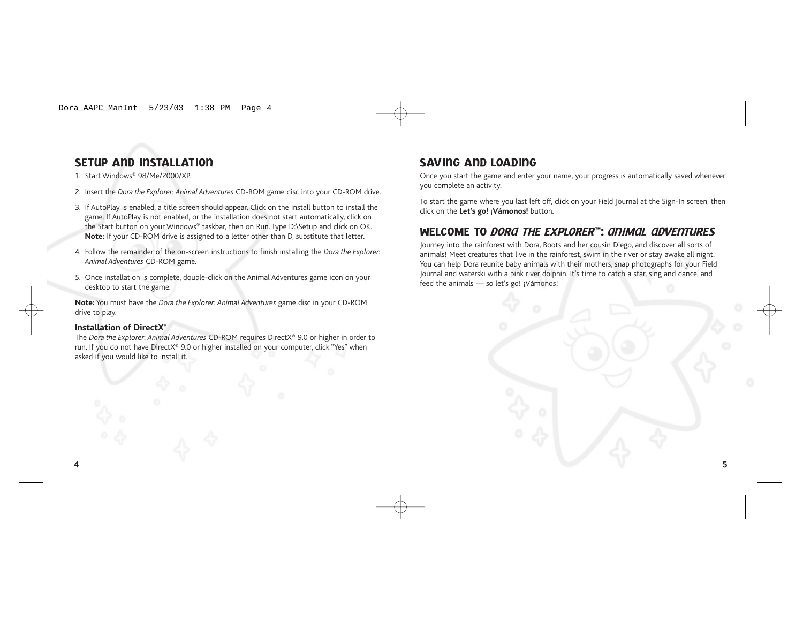# SETUP AND INSTALLATION

1. Start Windows® 98/Me/2000/XP.

- 2. Insert the *Dora the Explorer*: *Animal Adventures* CD-ROM game disc into your CD-ROM drive.
- 3. If AutoPlay is enabled, a title screen should appear. Click on the Install button to install the game. If AutoPlay is not enabled, or the installation does not start automatically, click on the Start button on your Windows® taskbar, then on Run. Type D:\Setup and click on OK. **Note:** If your CD-ROM drive is assigned to a letter other than D, substitute that letter.
- 4. Follow the remainder of the on-screen instructions to finish installing the *Dora the Explorer*: *Animal Adventures* CD-ROM game.
- 5. Once installation is complete, double-click on the Animal Adventures game icon on your desktop to start the game.

**Note:** You must have the *Dora the Explorer*: *Animal Adventures* game disc in your CD-ROM drive to play.

### **Installation of DirectX®**

The *Dora the Explorer*: *Animal Adventures* CD-ROM requires DirectX® 9.0 or higher in order to run. If you do not have DirectX® 9.0 or higher installed on your computer, click "Yes" when asked if you would like to install it.

### SAVING AND LOADING

Once you start the game and enter your name, your progress is automatically saved whenever you complete an activity.

To start the game where you last left off, click on your Field Journal at the Sign-In screen, then click on the **Let's go! ¡Vámonos!** button.

# WELCOME TO *DORA THE EXPLORER*™: *ANIMAL ADVENTURES*

Journey into the rainforest with Dora, Boots and her cousin Diego, and discover all sorts of animals! Meet creatures that live in the rainforest, swim in the river or stay awake all night. You can help Dora reunite baby animals with their mothers, snap photographs for your Field Journal and waterski with a pink river dolphin. It's time to catch a star, sing and dance, and feed the animals — so let's go! ¡Vámonos!

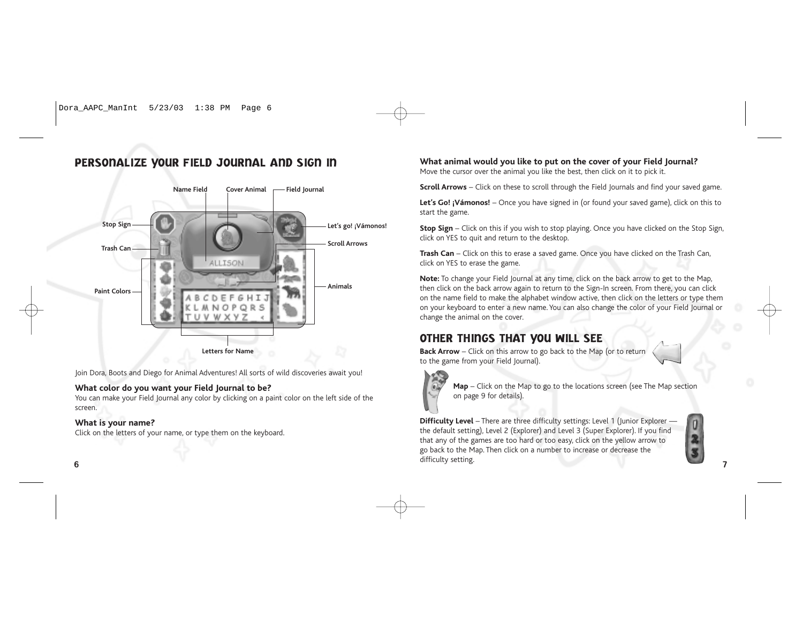# PERSONALIZE YOUR FIELD JOURNAL AND SIGN IN



Join Dora, Boots and Diego for Animal Adventures! All sorts of wild discoveries await you!

### **What color do you want your Field Journal to be?**

You can make your Field Journal any color by clicking on a paint color on the left side of the screen.

### **What is your name?**

Click on the letters of your name, or type them on the keyboard.

### **What animal would you like to put on the cover of your Field Journal?**

Move the cursor over the animal you like the best, then click on it to pick it.

**Scroll Arrows** – Click on these to scroll through the Field Journals and find your saved game.

Let's Go! ¡Vámonos! – Once you have signed in (or found your saved game), click on this to start the game.

**Stop Sign** – Click on this if you wish to stop playing. Once you have clicked on the Stop Sign, click on YES to quit and return to the desktop.

**Trash Can** – Click on this to erase a saved game. Once you have clicked on the Trash Can, click on YES to erase the game.

**Note:** To change your Field Journal at any time, click on the back arrow to get to the Map, then click on the back arrow again to return to the Sign-In screen. From there, you can click on the name field to make the alphabet window active, then click on the letters or type them on your keyboard to enter a new name. You can also change the color of your Field Journal or change the animal on the cover.

# OTHER THINGS THAT YOU WILL SEE

**Back Arrow** – Click on this arrow to go back to the Map (or to return to the game from your Field Journal).



**Map** – Click on the Map to go to the locations screen (see The Map section on page 9 for details).

**Difficulty Level** – There are three difficulty settings: Level 1 (Junior Explorer – the default setting), Level 2 (Explorer) and Level 3 (Super Explorer). If you find that any of the games are too hard or too easy, click on the yellow arrow to go back to the Map. Then click on a number to increase or decrease the difficulty setting. 6 and the contract of the contract of the contract of the contract of the contract of the contract of the contract of the contract of the contract of the contract of the contract of the contract of the contract of the cont

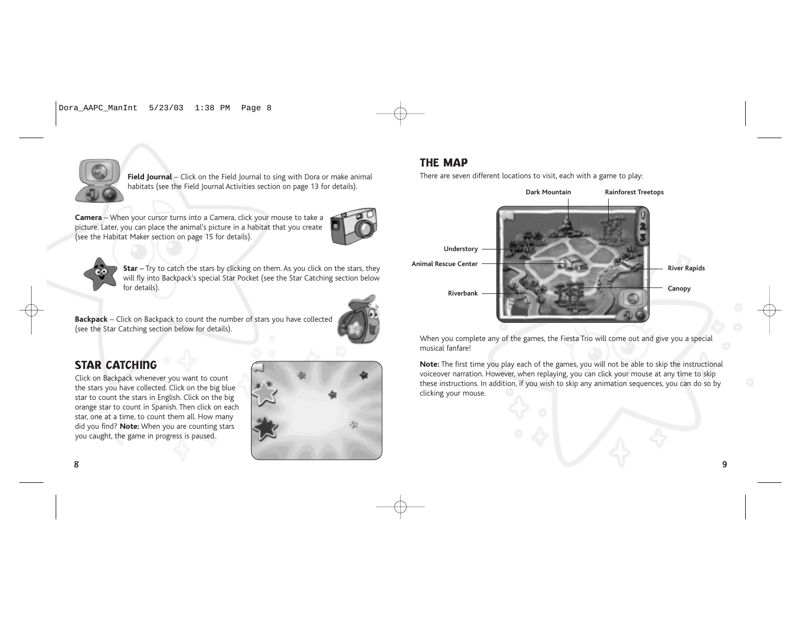

**Field Journal** – Click on the Field Journal to sing with Dora or make animal habitats (see the Field Journal Activities section on page 13 for details).

**Camera** – When your cursor turns into a Camera, click your mouse to take a picture. Later, you can place the animal's picture in a habitat that you create (see the Habitat Maker section on page 15 for details).





**Star** – Try to catch the stars by clicking on them. As you click on the stars, they will fly into Backpack's special Star Pocket (see the Star Catching section below for details).

**Backpack** – Click on Backpack to count the number of stars you have collected (see the Star Catching section below for details).



# STAR CATCHING

Click on Backpack whenever you want to count the stars you have collected. Click on the big blue star to count the stars in English. Click on the big orange star to count in Spanish. Then click on each star, one at a time, to count them all. How many did you find? **Note:** When you are counting stars you caught, the game in progress is paused.



# THE MAP

There are seven different locations to visit, each with a game to play:



When you complete any of the games, the Fiesta Trio will come out and give you a special musical fanfare!

**Note:** The first time you play each of the games, you will not be able to skip the instructional voiceover narration. However, when replaying, you can click your mouse at any time to skip these instructions. In addition, if you wish to skip any animation sequences, you can do so by clicking your mouse.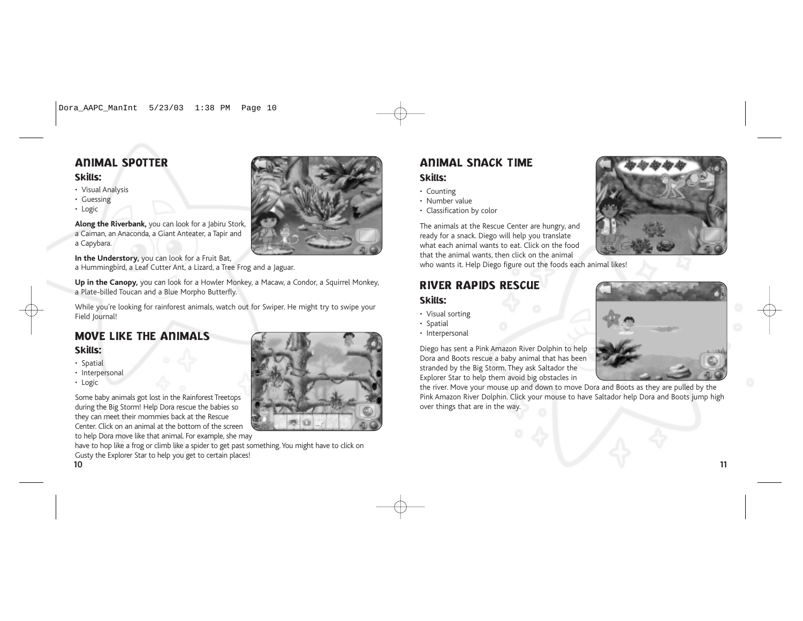# ANIMAL SPOTTER

### Skills:

- Visual Analysis
- Guessing
- Logic

**Along the Riverbank,** you can look for a Jabiru Stork, a Caiman, an Anaconda, a Giant Anteater, a Tapir and a Capybara.

**In the Understory,** you can look for a Fruit Bat, a Hummingbird, a Leaf Cutter Ant, a Lizard, a Tree Frog and a Jaguar.

**Up in the Canopy,** you can look for a Howler Monkey, a Macaw, a Condor, a Squirrel Monkey, a Plate-billed Toucan and a Blue Morpho Butterfly.

While you're looking for rainforest animals, watch out for Swiper. He might try to swipe your Field Journal!

# MOVE LIKE THE ANIMALS

### Skills:

- Spatial
- Interpersonal
- Logic

Some baby animals got lost in the Rainforest Treetops during the Big Storm! Help Dora rescue the babies so they can meet their mommies back at the Rescue Center. Click on an animal at the bottom of the screen to help Dora move like that animal. For example, she may

have to hop like a frog or climb like a spider to get past something. You might have to click on Gusty the Explorer Star to help you get to certain places! 10 11



# ANIMAL SNACK TIME Skills:

# • Counting

- Number value
- Classification by color

The animals at the Rescue Center are hungry, and ready for a snack. Diego will help you translate what each animal wants to eat. Click on the food that the animal wants, then click on the animal who wants it. Help Diego figure out the foods each animal likes!

# RIVER RAPIDS RESCUE

# Skills:

- Visual sorting
- Spatial
- Interpersonal

Diego has sent a Pink Amazon River Dolphin to help Dora and Boots rescue a baby animal that has been stranded by the Big Storm. They ask Saltador the Explorer Star to help them avoid big obstacles in

the river. Move your mouse up and down to move Dora and Boots as they are pulled by the Pink Amazon River Dolphin. Click your mouse to have Saltador help Dora and Boots jump high over things that are in the way.



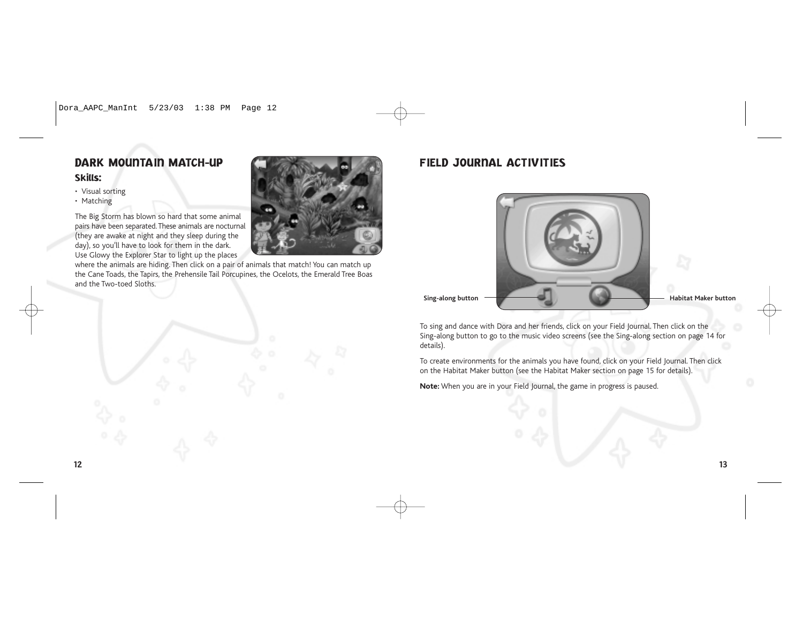# DARK MOUNTAIN MATCH-UP

### Skills:

- Visual sorting
- Matching

The Big Storm has blown so hard that some animal pairs have been separated. These animals are nocturnal (they are awake at night and they sleep during the day), so you'll have to look for them in the dark. Use Glowy the Explorer Star to light up the places

where the animals are hiding. Then click on a pair of animals that match! You can match up the Cane Toads, the Tapirs, the Prehensile Tail Porcupines, the Ocelots, the Emerald Tree Boas and the Two-toed Sloths.



# FIELD JOURNAL ACTIVITIES



To sing and dance with Dora and her friends, click on your Field Journal. Then click on the Sing-along button to go to the music video screens (see the Sing-along section on page 14 for details).

To create environments for the animals you have found, click on your Field Journal. Then click on the Habitat Maker button (see the Habitat Maker section on page 15 for details).

**Note:** When you are in your Field Journal, the game in progress is paused.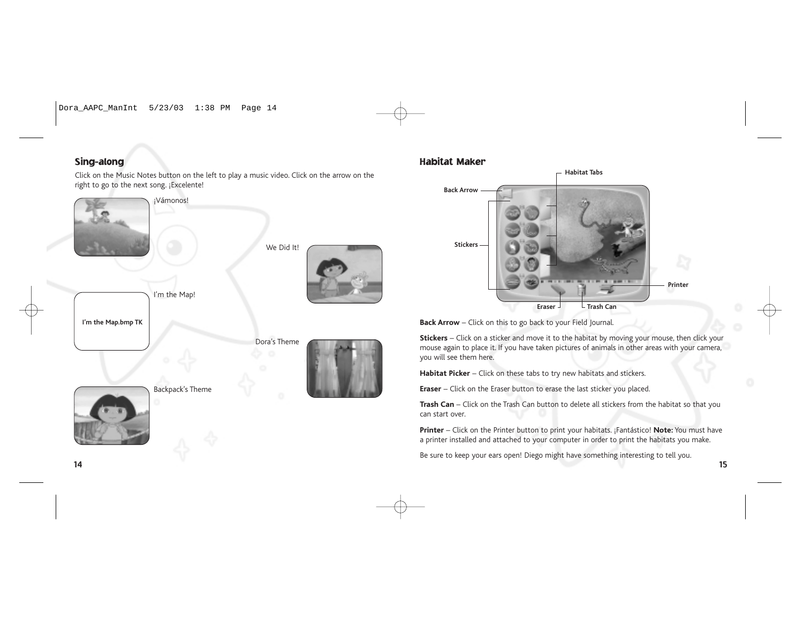# Sing-along

Click on the Music Notes button on the left to play a music video. Click on the arrow on the right to go to the next song. ¡Excelente!



Backpack's Theme

### Habitat Maker



**Back Arrow** – Click on this to go back to your Field Journal.

**Stickers** – Click on a sticker and move it to the habitat by moving your mouse, then click your mouse again to place it. If you have taken pictures of animals in other areas with your camera, you will see them here.

**Habitat Picker** – Click on these tabs to try new habitats and stickers.

**Eraser** – Click on the Eraser button to erase the last sticker you placed.

**Trash Can** – Click on the Trash Can button to delete all stickers from the habitat so that you can start over.

**Printer** – Click on the Printer button to print your habitats. ¡Fantástico! **Note:** You must have a printer installed and attached to your computer in order to print the habitats you make.

Be sure to keep your ears open! Diego might have something interesting to tell you.

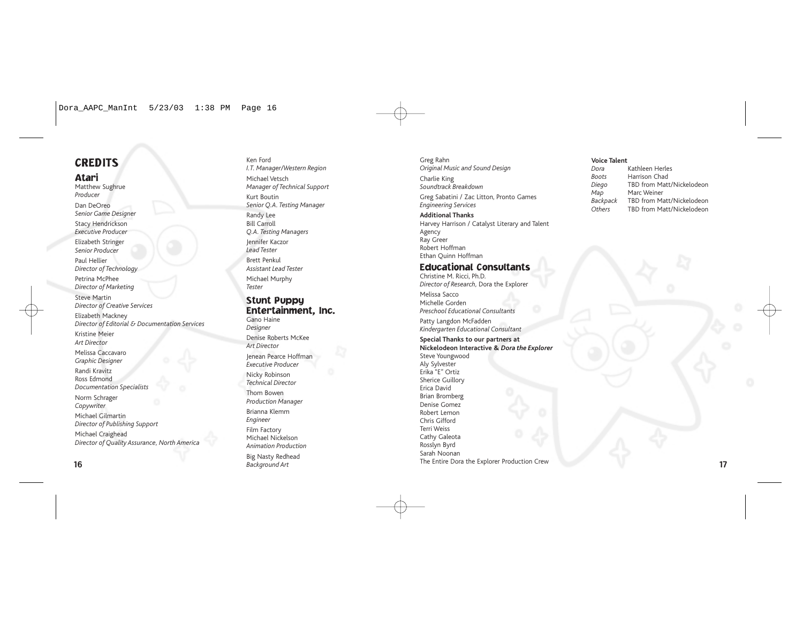# **CREDITS**

Atari Matthew Sughrue *Producer* Dan DeOreo *Senior Game Designer* Stacy Hendrickson *Executive Producer* Elizabeth Stringer *Senior Producer* Paul Hellier *Director of Technology* Petrina McPhee *Director of Marketing* Steve Martin *Director of Creative Services* Elizabeth Mackney *Director of Editorial & Documentation Services* Kristine Meier *Art Director* Melissa Caccavaro *Graphic Designer* Randi Kravitz Ross Edmond *Documentation Specialists* Norm Schrager *Copywriter* Michael Gilmartin *Director of Publishing Support* Michael Craighead *Director of Quality Assurance, North America*

Ken Ford *I.T. Manager/Western Region* Michael Vetsch *Manager of Technical Support* Kurt Boutin *Senior Q.A. Testing Manager* Randy Lee Bill Carroll *Q.A. Testing Managers* Jennifer Kaczor *Lead Tester* Brett Penkul *Assistant Lead Tester* Michael Murphy *Tester*

### Stunt Puppy Entertainment, Inc.

Gano Haine *Designer* Denise Roberts McKee *Art Director* Jenean Pearce Hoffman *Executive Producer* Nicky Robinson *Technical Director* Thom Bowen *Production Manager* Brianna Klemm *Engineer* Film Factory Michael Nickelson *Animation Production* Big Nasty Redhead<br>Background Art 16 **Background Art B**ackground Art **17 Background Art** 17 **Background Art** 17 **Background Art** 17 **Background Art** 17 **Background Art** 17 **Background Art** 17 **Background Art** 17 **Background Art** 17 **Background Art** 17

Greg Rahn *Original Music and Sound Design* Charlie King *Soundtrack Breakdown* Greg Sabatini / Zac Litton, Pronto Games *Engineering Services* **Additional Thanks** Harvey Harrison / Catalyst Literary and Talent Agency Ray Greer

# Robert Hoffman Ethan Quinn Hoffman

### Educational Consultants

Christine M. Ricci, Ph.D. *Director of Research,* Dora the Explorer

Melissa Sacco Michelle Gorden *Preschool Educational Consultants*

Patty Langdon McFadden *Kindergarten Educational Consultant*

### **Special Thanks to our partners at Nickelodeon Interactive &** *Dora the Explorer* Steve Youngwood

Aly Sylvester Erika "E" Ortiz Sherice Guillory Erica David Brian Bromberg Denise Gomez Robert Lemon Chris Gifford Terri Weiss Cathy Galeota Rosslyn Byrd Sarah Noonan The Entire Dora the Explorer Production Crew

### **Voice Talent**

| Kathleen Herles           |
|---------------------------|
| Harrison Chad             |
| TBD from Matt/Nickelodeon |
| Marc Weiner               |
| TBD from Matt/Nickelodeon |
| TBD from Matt/Nickelodeon |
|                           |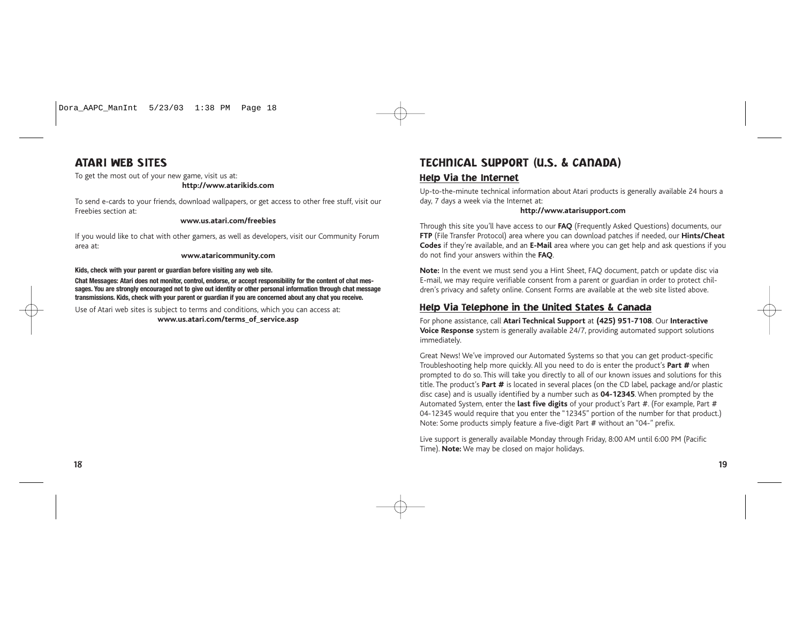

## ATARI WEB SITES

To get the most out of your new game, visit us at:

### **http://www.atarikids.com**

To send e-cards to your friends, download wallpapers, or get access to other free stuff, visit our Freebies section at:

### **www.us.atari.com/freebies**

If you would like to chat with other gamers, as well as developers, visit our Community Forum area at:

### **www.ataricommunity.com**

**Kids, check with your parent or guardian before visiting any web site.**

**Chat Messages: Atari does not monitor, control, endorse, or accept responsibility for the content of chat messages. You are strongly encouraged not to give out identity or other personal information through chat message transmissions. Kids, check with your parent or guardian if you are concerned about any chat you receive.**

Use of Atari web sites is subject to terms and conditions, which you can access at: **www.us.atari.com/terms\_of\_service.asp**

# TECHNICAL SUPPORT (U.S. & CANADA) Help Via the Internet

Up-to-the-minute technical information about Atari products is generally available 24 hours a day, 7 days a week via the Internet at:

### **http://www.atarisupport.com**

Through this site you'll have access to our **FAQ** (Frequently Asked Questions) documents, our **FTP** (File Transfer Protocol) area where you can download patches if needed, our **Hints/Cheat Codes** if they're available, and an **E-Mail** area where you can get help and ask questions if you do not find your answers within the **FAQ**.

**Note:** In the event we must send you a Hint Sheet, FAQ document, patch or update disc via E-mail, we may require verifiable consent from a parent or guardian in order to protect children's privacy and safety online. Consent Forms are available at the web site listed above.

### Help Via Telephone in the United States & Canada

For phone assistance, call **Atari Technical Support** at **(425) 951-7108**. Our **Interactive Voice Response** system is generally available 24/7, providing automated support solutions immediately.

Great News! We've improved our Automated Systems so that you can get product-specific Troubleshooting help more quickly. All you need to do is enter the product's **Part #** when prompted to do so. This will take you directly to all of our known issues and solutions for this title. The product's **Part #** is located in several places (on the CD label, package and/or plastic disc case) and is usually identified by a number such as **04-12345**. When prompted by the Automated System, enter the **last five digits** of your product's Part #. (For example, Part # 04-12345 would require that you enter the "12345" portion of the number for that product.) Note: Some products simply feature a five-digit Part # without an "04-" prefix.

Live support is generally available Monday through Friday, 8:00 AM until 6:00 PM (Pacific Time). **Note:** We may be closed on major holidays.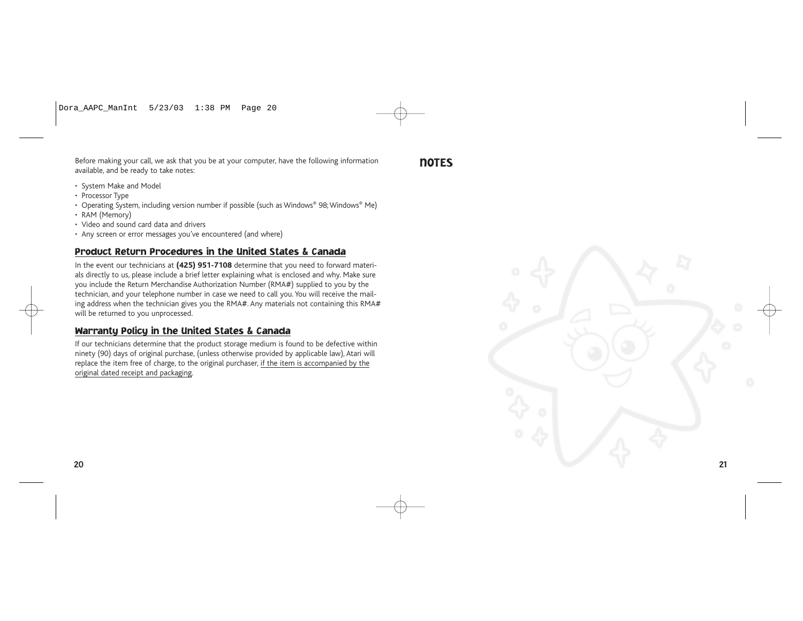Before making your call, we ask that you be at your computer, have the following information available, and be ready to take notes:

**NOTES** 

- System Make and Model
- Processor Type
- Operating System, including version number if possible (such as Windows® 98; Windows® Me)
- RAM (Memory)
- Video and sound card data and drivers
- Any screen or error messages you've encountered (and where)

## Product Return Procedures in the United States & Canada

In the event our technicians at **(425) 951-7108** determine that you need to forward materials directly to us, please include a brief letter explaining what is enclosed and why. Make sure you include the Return Merchandise Authorization Number (RMA#) supplied to you by the technician, and your telephone number in case we need to call you. You will receive the mailing address when the technician gives you the RMA#. Any materials not containing this RMA# will be returned to you unprocessed.

### Warranty Policy in the United States & Canada

If our technicians determine that the product storage medium is found to be defective within ninety (90) days of original purchase, (unless otherwise provided by applicable law), Atari will replace the item free of charge, to the original purchaser, if the item is accompanied by the original dated receipt and packaging.

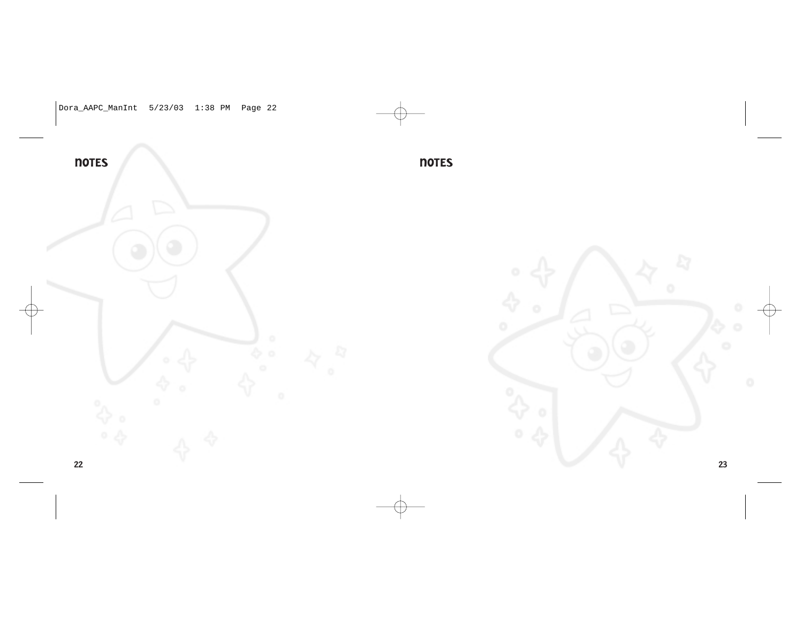

**NOTES** 

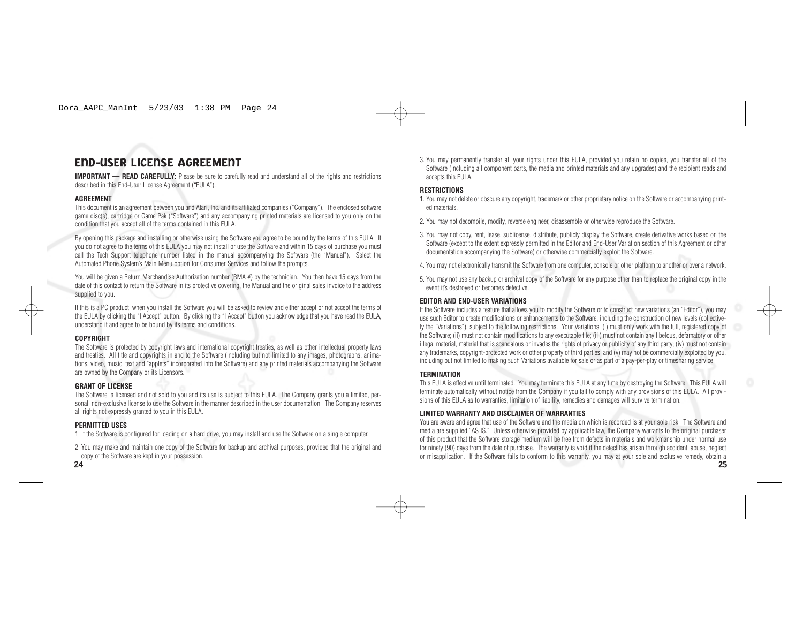# END-USER LICENSE AGREEMENT

**IMPORTANT — READ CAREFULLY:** Please be sure to carefully read and understand all of the rights and restrictions described in this End-User License Agreement ("EULA").

### **AGREEMENT**

This document is an agreement between you and Atari, Inc. and its affiliated companies ("Company"). The enclosed software game disc(s), cartridge or Game Pak ("Software") and any accompanying printed materials are licensed to you only on the condition that you accept all of the terms contained in this EULA.

By opening this package and installing or otherwise using the Software you agree to be bound by the terms of this EULA. If you do not agree to the terms of this EULA you may not install or use the Software and within 15 days of purchase you must call the Tech Support telephone number listed in the manual accompanying the Software (the "Manual"). Select the Automated Phone System's Main Menu option for Consumer Services and follow the prompts.

You will be given a Return Merchandise Authorization number (RMA #) by the technician. You then have 15 days from the date of this contact to return the Software in its protective covering, the Manual and the original sales invoice to the address supplied to you.

If this is a PC product, when you install the Software you will be asked to review and either accept or not accept the terms of the EULA by clicking the "I Accept" button. By clicking the "I Accept" button you acknowledge that you have read the EULA, understand it and agree to be bound by its terms and conditions.

### **COPYRIGHT**

The Software is protected by copyright laws and international copyright treaties, as well as other intellectual property laws and treaties. All title and copyrights in and to the Software (including but not limited to any images, photographs, animations, video, music, text and "applets" incorporated into the Software) and any printed materials accompanying the Software are owned by the Company or its Licensors.

### **GRANT OF LICENSE**

The Software is licensed and not sold to you and its use is subject to this EULA. The Company grants you a limited, personal, non-exclusive license to use the Software in the manner described in the user documentation. The Company reserves all rights not expressly granted to you in this EULA.

### **PERMITTED USES**

1. If the Software is configured for loading on a hard drive, you may install and use the Software on a single computer.

2. You may make and maintain one copy of the Software for backup and archival purposes, provided that the original and copy of the Software are kept in your possession.

3. You may permanently transfer all your rights under this EULA, provided you retain no copies, you transfer all of the Software (including all component parts, the media and printed materials and any upgrades) and the recipient reads and accepts this EULA.

### **RESTRICTIONS**

- 1. You may not delete or obscure any copyright, trademark or other proprietary notice on the Software or accompanying printed materials.
- 2. You may not decompile, modify, reverse engineer, disassemble or otherwise reproduce the Software.
- 3. You may not copy, rent, lease, sublicense, distribute, publicly display the Software, create derivative works based on the Software (except to the extent expressly permitted in the Editor and End-User Variation section of this Agreement or other documentation accompanying the Software) or otherwise commercially exploit the Software.
- 4. You may not electronically transmit the Software from one computer, console or other platform to another or over a network.
- 5. You may not use any backup or archival copy of the Software for any purpose other than to replace the original copy in the event it's destroyed or becomes defective.

### **EDITOR AND END-USER VARIATIONS**

If the Software includes a feature that allows you to modify the Software or to construct new variations (an "Editor"), you may use such Editor to create modifications or enhancements to the Software, including the construction of new levels (collectively the "Variations"), subject to the following restrictions. Your Variations: (i) must only work with the full, registered copy of the Software; (ii) must not contain modifications to any executable file; (iii) must not contain any libelous, defamatory or other illegal material, material that is scandalous or invades the rights of privacy or publicity of any third party; (iv) must not contain any trademarks, copyright-protected work or other property of third parties; and (v) may not be commercially exploited by you, including but not limited to making such Variations available for sale or as part of a pay-per-play or timesharing service.

### **TERMINATION**

This EULA is effective until terminated. You may terminate this EULA at any time by destroying the Software. This EULA will terminate automatically without notice from the Company if you fail to comply with any provisions of this EULA. All provisions of this EULA as to warranties, limitation of liability, remedies and damages will survive termination.

### **LIMITED WARRANTY AND DISCLAIMER OF WARRANTIES**

You are aware and agree that use of the Software and the media on which is recorded is at your sole risk. The Software and media are supplied "AS IS." Unless otherwise provided by applicable law, the Company warrants to the original purchaser of this product that the Software storage medium will be free from defects in materials and workmanship under normal use for ninety (90) days from the date of purchase. The warranty is void if the defect has arisen through accident, abuse, neglect or misapplication. If the Software fails to conform to this warranty, you may at your sole and exclusive remedy, obtain a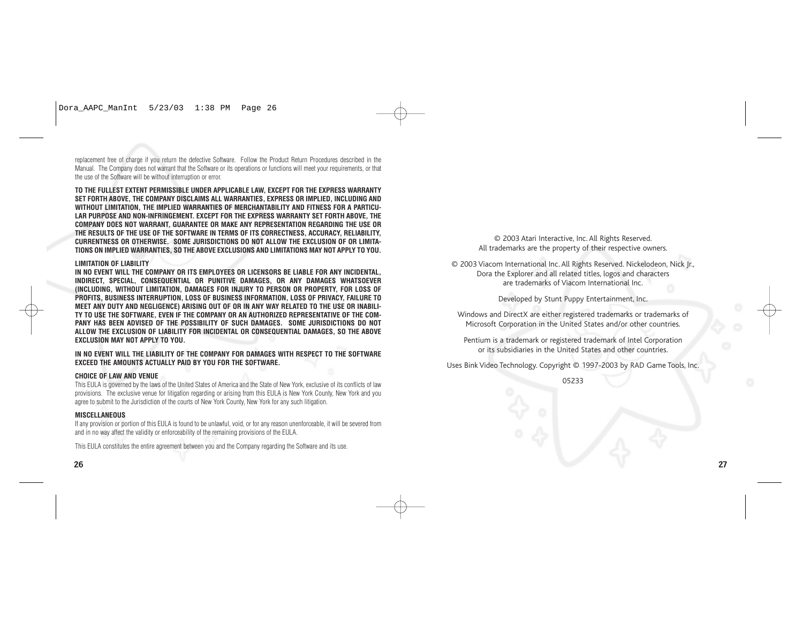replacement free of charge if you return the defective Software. Follow the Product Return Procedures described in the Manual. The Company does not warrant that the Software or its operations or functions will meet your requirements, or that the use of the Software will be without interruption or error.

**TO THE FULLEST EXTENT PERMISSIBLE UNDER APPLICABLE LAW, EXCEPT FOR THE EXPRESS WARRANTY SET FORTH ABOVE, THE COMPANY DISCLAIMS ALL WARRANTIES, EXPRESS OR IMPLIED, INCLUDING AND WITHOUT LIMITATION, THE IMPLIED WARRANTIES OF MERCHANTABILITY AND FITNESS FOR A PARTICU-LAR PURPOSE AND NON-INFRINGEMENT. EXCEPT FOR THE EXPRESS WARRANTY SET FORTH ABOVE, THE COMPANY DOES NOT WARRANT, GUARANTEE OR MAKE ANY REPRESENTATION REGARDING THE USE OR THE RESULTS OF THE USE OF THE SOFTWARE IN TERMS OF ITS CORRECTNESS, ACCURACY, RELIABILITY, CURRENTNESS OR OTHERWISE. SOME JURISDICTIONS DO NOT ALLOW THE EXCLUSION OF OR LIMITA-TIONS ON IMPLIED WARRANTIES, SO THE ABOVE EXCLUSIONS AND LIMITATIONS MAY NOT APPLY TO YOU.**

### **LIMITATION OF LIABILITY**

**IN NO EVENT WILL THE COMPANY OR ITS EMPLOYEES OR LICENSORS BE LIABLE FOR ANY INCIDENTAL, INDIRECT, SPECIAL, CONSEQUENTIAL OR PUNITIVE DAMAGES, OR ANY DAMAGES WHATSOEVER (INCLUDING, WITHOUT LIMITATION, DAMAGES FOR INJURY TO PERSON OR PROPERTY, FOR LOSS OF PROFITS, BUSINESS INTERRUPTION, LOSS OF BUSINESS INFORMATION, LOSS OF PRIVACY, FAILURE TO MEET ANY DUTY AND NEGLIGENCE) ARISING OUT OF OR IN ANY WAY RELATED TO THE USE OR INABILI-TY TO USE THE SOFTWARE, EVEN IF THE COMPANY OR AN AUTHORIZED REPRESENTATIVE OF THE COM-PANY HAS BEEN ADVISED OF THE POSSIBILITY OF SUCH DAMAGES. SOME JURISDICTIONS DO NOT ALLOW THE EXCLUSION OF LIABILITY FOR INCIDENTAL OR CONSEQUENTIAL DAMAGES, SO THE ABOVE EXCLUSION MAY NOT APPLY TO YOU.**

**IN NO EVENT WILL THE LIABILITY OF THE COMPANY FOR DAMAGES WITH RESPECT TO THE SOFTWARE EXCEED THE AMOUNTS ACTUALLY PAID BY YOU FOR THE SOFTWARE.**

### **CHOICE OF LAW AND VENUE**

This EULA is governed by the laws of the United States of America and the State of New York, exclusive of its conflicts of law provisions. The exclusive venue for litigation regarding or arising from this EULA is New York County, New York and you agree to submit to the Jurisdiction of the courts of New York County, New York for any such litigation.

### **MISCELLANEOUS**

If any provision or portion of this EULA is found to be unlawful, void, or for any reason unenforceable, it will be severed from and in no way affect the validity or enforceability of the remaining provisions of the EULA.

This EULA constitutes the entire agreement between you and the Company regarding the Software and its use.

© 2003 Atari Interactive, Inc. All Rights Reserved. All trademarks are the property of their respective owners.

© 2003 Viacom International Inc. All Rights Reserved. Nickelodeon, Nick Jr., Dora the Explorer and all related titles, logos and characters are trademarks of Viacom International Inc.

Developed by Stunt Puppy Entertainment, Inc.

Windows and DirectX are either registered trademarks or trademarks of Microsoft Corporation in the United States and/or other countries.

Pentium is a trademark or registered trademark of Intel Corporation or its subsidiaries in the United States and other countries.

Uses Bink Video Technology. Copyright © 1997-2003 by RAD Game Tools, Inc.

05233